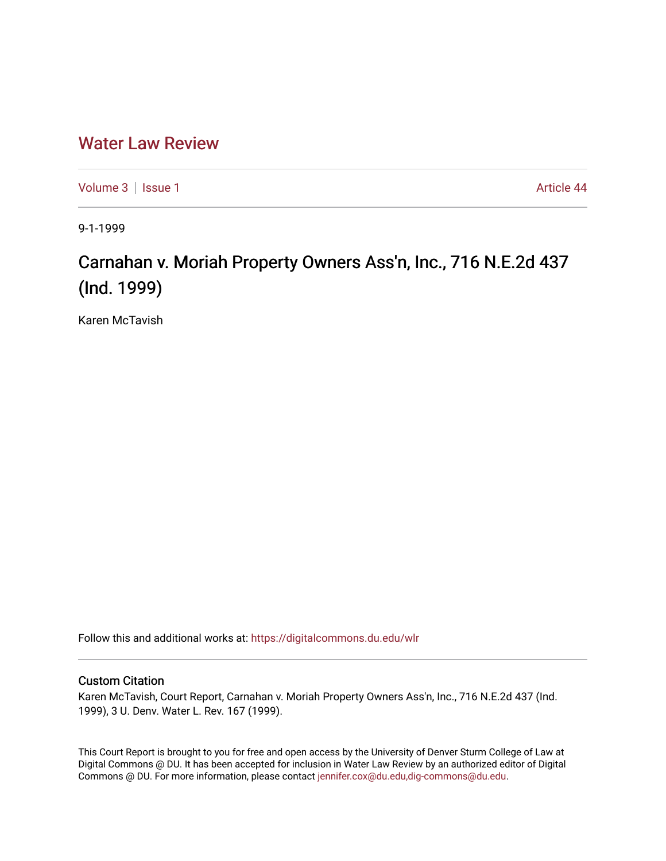## [Water Law Review](https://digitalcommons.du.edu/wlr)

[Volume 3](https://digitalcommons.du.edu/wlr/vol3) | [Issue 1](https://digitalcommons.du.edu/wlr/vol3/iss1) Article 44

9-1-1999

## Carnahan v. Moriah Property Owners Ass'n, Inc., 716 N.E.2d 437 (Ind. 1999)

Karen McTavish

Follow this and additional works at: [https://digitalcommons.du.edu/wlr](https://digitalcommons.du.edu/wlr?utm_source=digitalcommons.du.edu%2Fwlr%2Fvol3%2Fiss1%2F44&utm_medium=PDF&utm_campaign=PDFCoverPages) 

## Custom Citation

Karen McTavish, Court Report, Carnahan v. Moriah Property Owners Ass'n, Inc., 716 N.E.2d 437 (Ind. 1999), 3 U. Denv. Water L. Rev. 167 (1999).

This Court Report is brought to you for free and open access by the University of Denver Sturm College of Law at Digital Commons @ DU. It has been accepted for inclusion in Water Law Review by an authorized editor of Digital Commons @ DU. For more information, please contact [jennifer.cox@du.edu,dig-commons@du.edu.](mailto:jennifer.cox@du.edu,dig-commons@du.edu)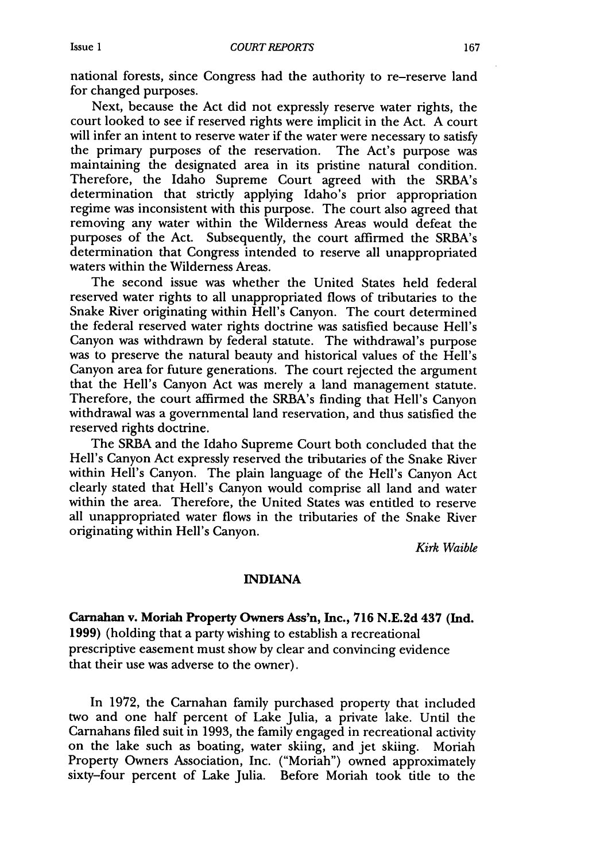national forests, since Congress had the authority to re-reserve land for changed purposes.

Next, because the Act did not expressly reserve water rights, the court looked to see if reserved rights were implicit in the Act. A court will infer an intent to reserve water if the water were necessary to satisfy the primary purposes of the reservation. The Act's purpose was maintaining the designated area in its pristine natural condition. Therefore, the Idaho Supreme Court agreed with the SRBA's determination that strictly applying Idaho's prior appropriation regime was inconsistent with this purpose. The court also agreed that removing any water within the Wilderness Areas would defeat the purposes of the Act. Subsequently, the court affirmed the SRBA's determination that Congress intended to reserve all unappropriated waters within the Wilderness Areas.

The second issue was whether the United States held federal reserved water rights to all unappropriated flows of tributaries to the Snake River originating within Hell's Canyon. The court determined the federal reserved water rights doctrine was satisfied because Hell's Canyon was withdrawn by federal statute. The withdrawal's purpose was to preserve the natural beauty and historical values of the Hell's Canyon area for future generations. The court rejected the argument that the Hell's Canyon Act was merely a land management statute. Therefore, the court affirmed the SRBA's finding that Hell's Canyon withdrawal was a governmental land reservation, and thus satisfied the reserved rights doctrine.

The SRBA and the Idaho Supreme Court both concluded that the Hell's Canyon Act expressly reserved the tributaries of the Snake River within Hell's Canyon. The plain language of the Hell's Canyon Act clearly stated that Hell's Canyon would comprise all land and water within the area. Therefore, the United States was entitled to reserve all unappropriated water flows in the tributaries of the Snake River originating within Hell's Canyon.

*Kirk Waible*

## **INDIANA**

**Carnahan v. Moriah Property Owners Ass'n, Inc., 716 N.E.2d 437 (Ind.** 1999) (holding that a party wishing to establish a recreational prescriptive easement must show by clear and convincing evidence that their use was adverse to the owner).

In 1972, the Carnahan family purchased property that included two and one half percent of Lake Julia, a private lake. Until the Carnahans filed suit in 1993, the family engaged in recreational activity on the lake such as boating, water skiing, and jet skiing. Moriah Property Owners Association, Inc. ("Moriah") owned approximately sixty-four percent of Lake Julia. Before Moriah took title to the